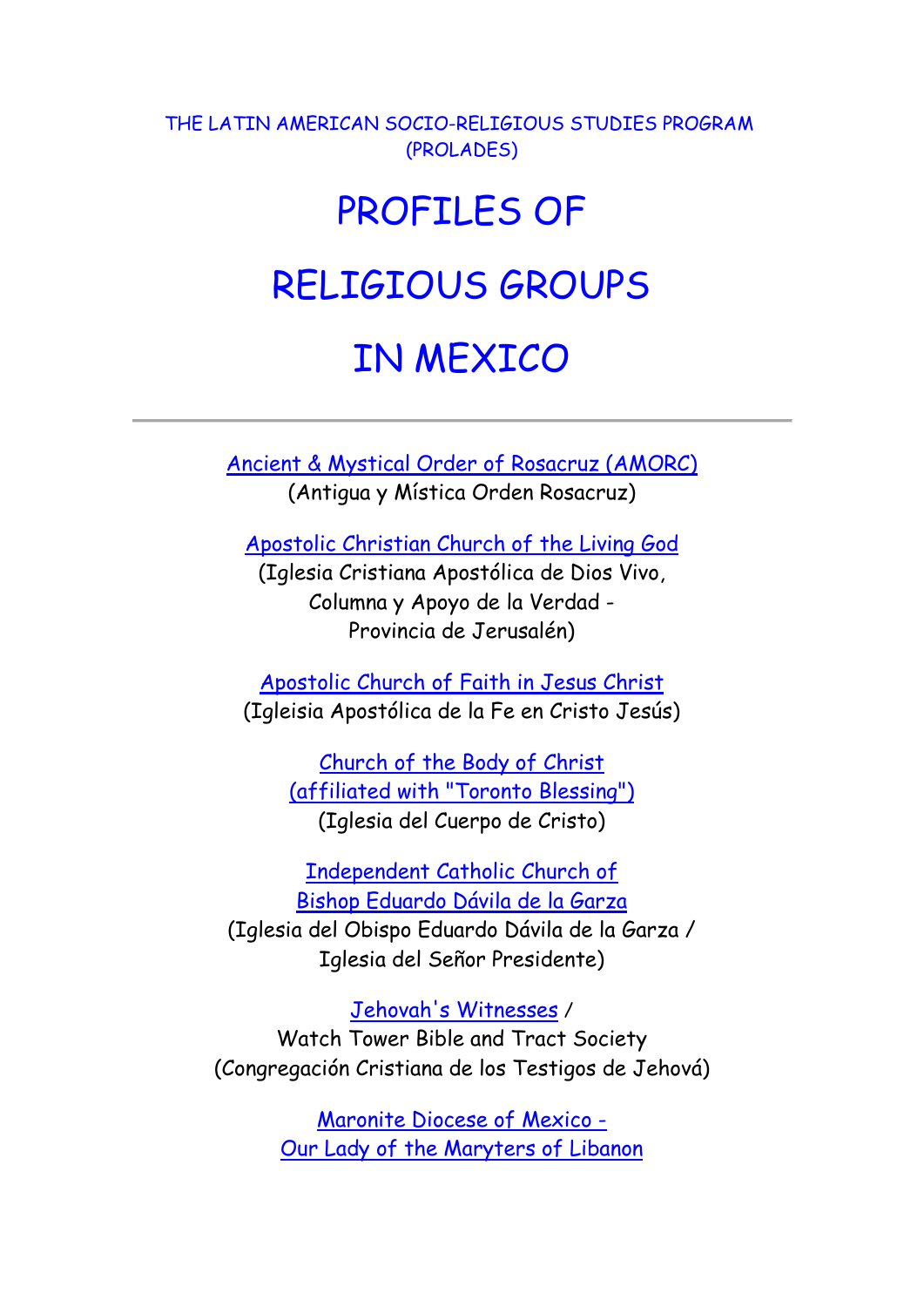THE LATIN AMERICAN SOCIO-RELIGIOUS STUDIES PROGRAM (PROLADES)

## PROFILES OF RELIGIOUS GROUPS

## IN MEXICO

[Ancient & Mystical Order of Rosacruz \(AMORC\)](http://www.uacj.mx/UEHS/Mapa/RosaCruces.htm) (Antigua y Mística Orden Rosacruz)

[Apostolic Christian Church of the Living God](provincia_jerusalen.pdf)

(Iglesia Cristiana Apostólica de Dios Vivo, Columna y Apoyo de la Verdad - Provincia de Jerusalén)

[Apostolic Church of Faith in Jesus Christ](apostolica.html) (Igleisia Apostólica de la Fe en Cristo Jesús)

[Church of the Body of Christ](http://www.uacj.mx/UEHS/Mapa/IglesiadelCuerpodeCristo.htm)  [\(affiliated with "Toronto Blessing"\)](http://www.uacj.mx/UEHS/Mapa/IglesiadelCuerpodeCristo.htm) (Iglesia del Cuerpo de Cristo)

[Independent Catholic Church of](Iglesia_del_Se�or_Presidente.pdf) [Bishop Eduardo Dávila de la Garza](Iglesia_del_Se�or_Presidente.pdf) (Iglesia del Obispo Eduardo Dávila de la Garza / Iglesia del Señor Presidente)

[Jehovah's Witnesses](http://www.uacj.mx/UEHS/Mapa/TestigosdeJehova.htm) / Watch Tower Bible and Tract Society (Congregación Cristiana de los Testigos de Jehová)

> [Maronite Diocese of Mexico -](http://www.uacj.mx/UEHS/Mapa/Maronitas.htm)  [Our Lady of the Maryters of Libanon](http://www.uacj.mx/UEHS/Mapa/Maronitas.htm)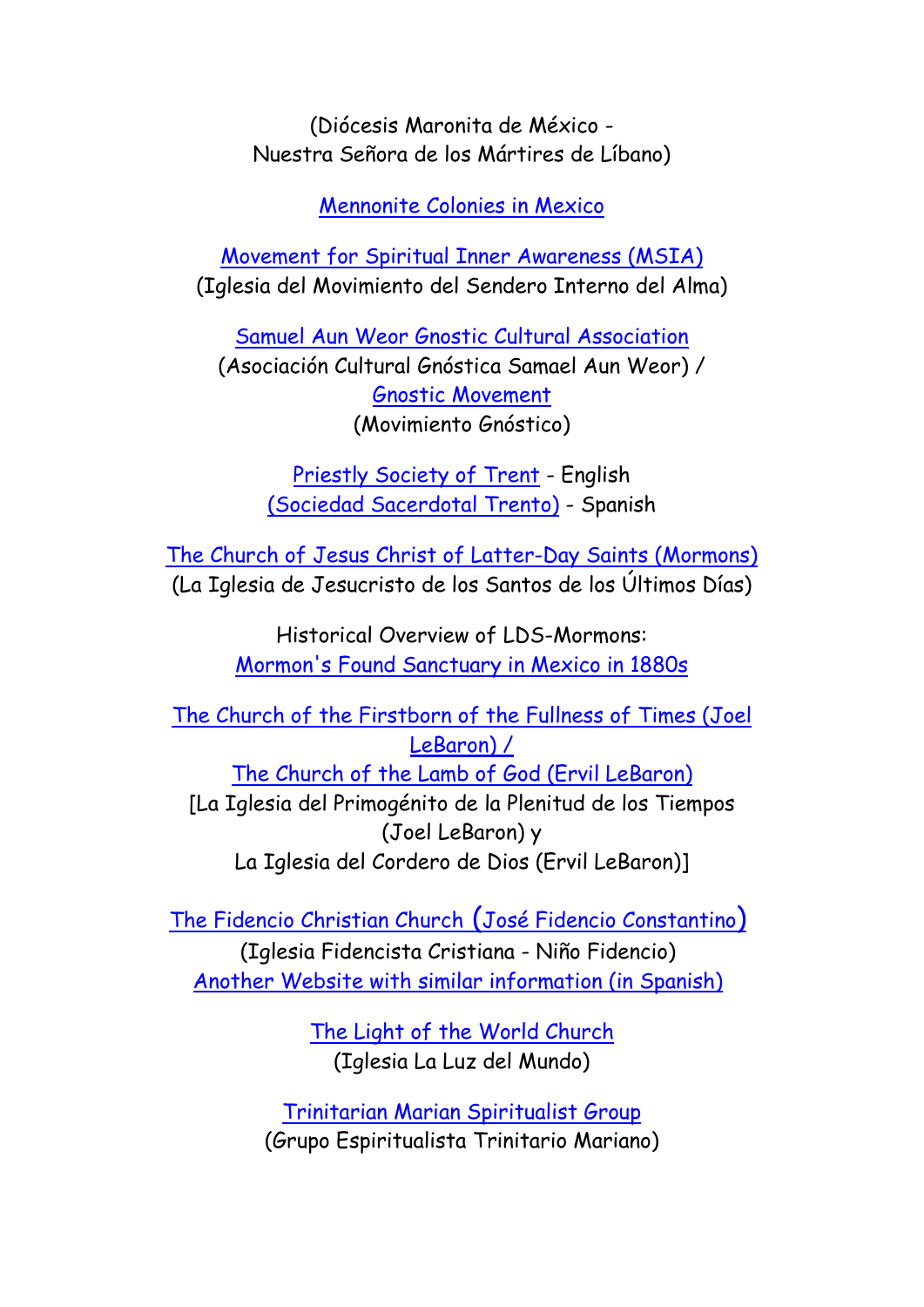(Diócesis Maronita de México - Nuestra Señora de los Mártires de Líbano)

[Mennonite Colonies in Mexico](mennonites_mexico.pdf)

[Movement for Spiritual Inner Awareness \(MSIA\)](http://www.uacj.mx/UEHS/Mapa/MSIA.htm) (Iglesia del Movimiento del Sendero Interno del Alma)

[Samuel Aun Weor Gnostic Cultural Association](http://www.uacj.mx/UEHS/Mapa/AsociacionCulturalGnosticaSAW.htm) (Asociación Cultural Gnóstica Samael Aun Weor) / [Gnostic Movement](http://www.uacj.mx/UEHS/Mapa/MovimientoGnostico.htm) (Movimiento Gnóstico)

> [Priestly Society of Trent](http://www.wandea.org.pl/church-mexico.html) - English [\(Sociedad Sacerdotal Trento\)](http://www.uacj.mx/UEHS/Mapa/SociedadTrento.htm) - Spanish

[The Church of Jesus Christ of Latter-Day Saints \(Mormons\)](http://www.uacj.mx/UEHS/Mapa/Mormones.htm) (La Iglesia de Jesucristo de los Santos de los Últimos Días)

> Historical Overview of LDS-Mormons: [Mormon's Found Sanctuary in Mexico in 1880s](mormons_mexico.pdf)

[The Church of the Firstborn of the Fullness of Times \(Joel](http://www.uacj.mx/UEHS/Mapa/Lebarones.htm) [LeBaron\) /](http://www.uacj.mx/UEHS/Mapa/Lebarones.htm) [The Church of the Lamb of God \(Ervil LeBaron\)](http://www.uacj.mx/UEHS/Mapa/Lebarones.htm) [La Iglesia del Primogénito de la Plenitud de los Tiempos (Joel LeBaron) y La Iglesia del Cordero de Dios (Ervil LeBaron)]

[The Fidencio Christian Church](http://www.uacj.mx/UEHS/Mapa/IglesiaFidencistaCristiana(Ni�oFidencio).htm) (José Fidencio Constantino) (Iglesia Fidencista Cristiana - Niño Fidencio) [Another Website with similar information \(in Spanish\)](http://www.rcadena.net/Fidencio.htm)

> [The Light of the World Church](../../../My%20Documents/Countries/mexico/luzdelmundo.html)  (Iglesia La Luz del Mundo)

[Trinitarian Marian Spiritualist Group](trinitario_mariano.pdf) (Grupo Espiritualista Trinitario Mariano)